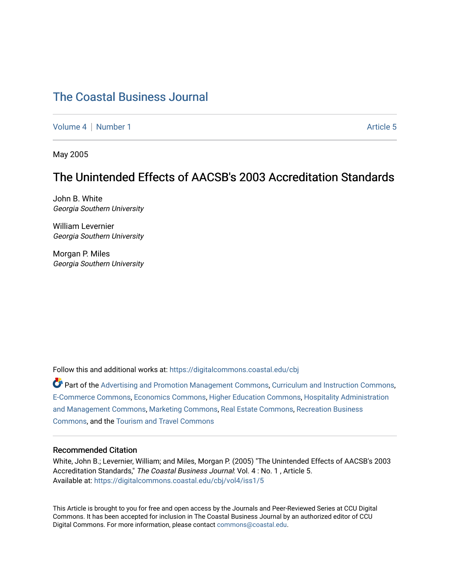# [The Coastal Business Journal](https://digitalcommons.coastal.edu/cbj)

[Volume 4](https://digitalcommons.coastal.edu/cbj/vol4) | [Number 1](https://digitalcommons.coastal.edu/cbj/vol4/iss1) Article 5

May 2005

# The Unintended Effects of AACSB's 2003 Accreditation Standards

John B. White Georgia Southern University

William Levernier Georgia Southern University

Morgan P. Miles Georgia Southern University

Follow this and additional works at: [https://digitalcommons.coastal.edu/cbj](https://digitalcommons.coastal.edu/cbj?utm_source=digitalcommons.coastal.edu%2Fcbj%2Fvol4%2Fiss1%2F5&utm_medium=PDF&utm_campaign=PDFCoverPages) 

Part of the [Advertising and Promotion Management Commons,](http://network.bepress.com/hgg/discipline/626?utm_source=digitalcommons.coastal.edu%2Fcbj%2Fvol4%2Fiss1%2F5&utm_medium=PDF&utm_campaign=PDFCoverPages) [Curriculum and Instruction Commons,](http://network.bepress.com/hgg/discipline/786?utm_source=digitalcommons.coastal.edu%2Fcbj%2Fvol4%2Fiss1%2F5&utm_medium=PDF&utm_campaign=PDFCoverPages) [E-Commerce Commons,](http://network.bepress.com/hgg/discipline/624?utm_source=digitalcommons.coastal.edu%2Fcbj%2Fvol4%2Fiss1%2F5&utm_medium=PDF&utm_campaign=PDFCoverPages) [Economics Commons](http://network.bepress.com/hgg/discipline/340?utm_source=digitalcommons.coastal.edu%2Fcbj%2Fvol4%2Fiss1%2F5&utm_medium=PDF&utm_campaign=PDFCoverPages), [Higher Education Commons](http://network.bepress.com/hgg/discipline/1245?utm_source=digitalcommons.coastal.edu%2Fcbj%2Fvol4%2Fiss1%2F5&utm_medium=PDF&utm_campaign=PDFCoverPages), [Hospitality Administration](http://network.bepress.com/hgg/discipline/632?utm_source=digitalcommons.coastal.edu%2Fcbj%2Fvol4%2Fiss1%2F5&utm_medium=PDF&utm_campaign=PDFCoverPages) [and Management Commons,](http://network.bepress.com/hgg/discipline/632?utm_source=digitalcommons.coastal.edu%2Fcbj%2Fvol4%2Fiss1%2F5&utm_medium=PDF&utm_campaign=PDFCoverPages) [Marketing Commons](http://network.bepress.com/hgg/discipline/638?utm_source=digitalcommons.coastal.edu%2Fcbj%2Fvol4%2Fiss1%2F5&utm_medium=PDF&utm_campaign=PDFCoverPages), [Real Estate Commons](http://network.bepress.com/hgg/discipline/641?utm_source=digitalcommons.coastal.edu%2Fcbj%2Fvol4%2Fiss1%2F5&utm_medium=PDF&utm_campaign=PDFCoverPages), [Recreation Business](http://network.bepress.com/hgg/discipline/1083?utm_source=digitalcommons.coastal.edu%2Fcbj%2Fvol4%2Fiss1%2F5&utm_medium=PDF&utm_campaign=PDFCoverPages) [Commons](http://network.bepress.com/hgg/discipline/1083?utm_source=digitalcommons.coastal.edu%2Fcbj%2Fvol4%2Fiss1%2F5&utm_medium=PDF&utm_campaign=PDFCoverPages), and the [Tourism and Travel Commons](http://network.bepress.com/hgg/discipline/1082?utm_source=digitalcommons.coastal.edu%2Fcbj%2Fvol4%2Fiss1%2F5&utm_medium=PDF&utm_campaign=PDFCoverPages)

### Recommended Citation

White, John B.; Levernier, William; and Miles, Morgan P. (2005) "The Unintended Effects of AACSB's 2003 Accreditation Standards," The Coastal Business Journal: Vol. 4 : No. 1 , Article 5. Available at: [https://digitalcommons.coastal.edu/cbj/vol4/iss1/5](https://digitalcommons.coastal.edu/cbj/vol4/iss1/5?utm_source=digitalcommons.coastal.edu%2Fcbj%2Fvol4%2Fiss1%2F5&utm_medium=PDF&utm_campaign=PDFCoverPages)

This Article is brought to you for free and open access by the Journals and Peer-Reviewed Series at CCU Digital Commons. It has been accepted for inclusion in The Coastal Business Journal by an authorized editor of CCU Digital Commons. For more information, please contact [commons@coastal.edu](mailto:commons@coastal.edu).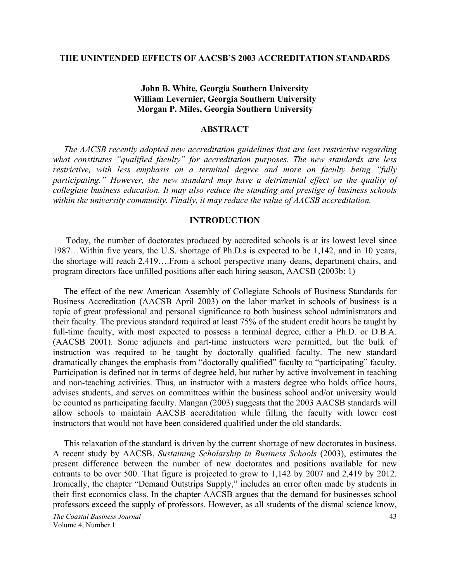#### **THE UNINTENDED EFFECTS OF AACSB'S 2003 ACCREDITATION STANDARDS**

# **John B. White, Georgia Southern University William Levernier, Georgia Southern University Morgan P. Miles, Georgia Southern University**

## **ABSTRACT**

 *The AACSB recently adopted new accreditation guidelines that are less restrictive regarding what constitutes "qualified faculty" for accreditation purposes. The new standards are less restrictive, with less emphasis on a terminal degree and more on faculty being "fully participating." However, the new standard may have a detrimental effect on the quality of collegiate business education. It may also reduce the standing and prestige of business schools within the university community. Finally, it may reduce the value of AACSB accreditation.* 

#### **INTRODUCTION**

 Today, the number of doctorates produced by accredited schools is at its lowest level since 1987…Within five years, the U.S. shortage of Ph.D.s is expected to be 1,142, and in 10 years, the shortage will reach 2,419….From a school perspective many deans, department chairs, and program directors face unfilled positions after each hiring season, AACSB (2003b: 1)

 The effect of the new American Assembly of Collegiate Schools of Business Standards for Business Accreditation (AACSB April 2003) on the labor market in schools of business is a topic of great professional and personal significance to both business school administrators and their faculty. The previous standard required at least 75% of the student credit hours be taught by full-time faculty, with most expected to possess a terminal degree, either a Ph.D. or D.B.A. (AACSB 2001). Some adjuncts and part-time instructors were permitted, but the bulk of instruction was required to be taught by doctorally qualified faculty. The new standard dramatically changes the emphasis from "doctorally qualified" faculty to "participating" faculty. Participation is defined not in terms of degree held, but rather by active involvement in teaching and non-teaching activities. Thus, an instructor with a masters degree who holds office hours, advises students, and serves on committees within the business school and/or university would be counted as participating faculty. Mangan (2003) suggests that the 2003 AACSB standards will allow schools to maintain AACSB accreditation while filling the faculty with lower cost instructors that would not have been considered qualified under the old standards.

 This relaxation of the standard is driven by the current shortage of new doctorates in business. A recent study by AACSB, *Sustaining Scholarship in Business Schools* (2003), estimates the present difference between the number of new doctorates and positions available for new entrants to be over 500. That figure is projected to grow to 1,142 by 2007 and 2,419 by 2012. Ironically, the chapter "Demand Outstrips Supply," includes an error often made by students in their first economics class. In the chapter AACSB argues that the demand for businesses school professors exceed the supply of professors. However, as all students of the dismal science know,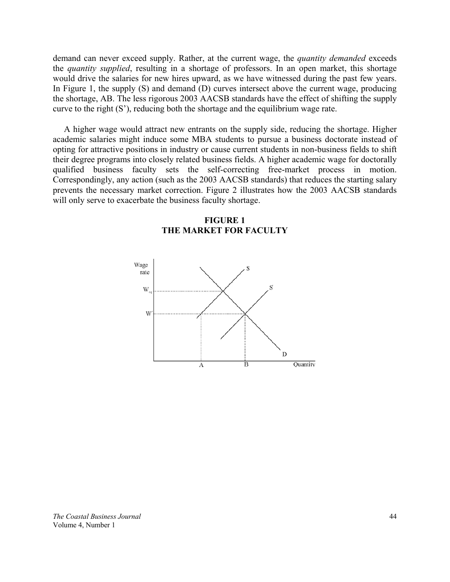demand can never exceed supply. Rather, at the current wage, the *quantity demanded* exceeds the *quantity supplied*, resulting in a shortage of professors. In an open market, this shortage would drive the salaries for new hires upward, as we have witnessed during the past few years. In Figure 1, the supply (S) and demand (D) curves intersect above the current wage, producing the shortage, AB. The less rigorous 2003 AACSB standards have the effect of shifting the supply curve to the right (S'), reducing both the shortage and the equilibrium wage rate.

 A higher wage would attract new entrants on the supply side, reducing the shortage. Higher academic salaries might induce some MBA students to pursue a business doctorate instead of opting for attractive positions in industry or cause current students in non-business fields to shift their degree programs into closely related business fields. A higher academic wage for doctorally qualified business faculty sets the self-correcting free-market process in motion. Correspondingly, any action (such as the 2003 AACSB standards) that reduces the starting salary prevents the necessary market correction. Figure 2 illustrates how the 2003 AACSB standards will only serve to exacerbate the business faculty shortage.



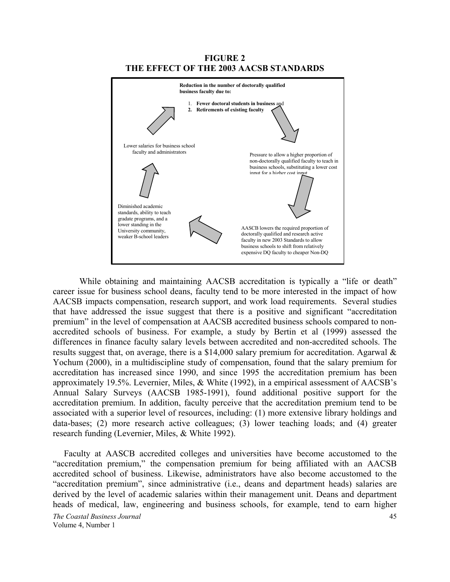**FIGURE 2 THE EFFECT OF THE 2003 AACSB STANDARDS** 



While obtaining and maintaining AACSB accreditation is typically a "life or death" career issue for business school deans, faculty tend to be more interested in the impact of how AACSB impacts compensation, research support, and work load requirements. Several studies that have addressed the issue suggest that there is a positive and significant "accreditation premium" in the level of compensation at AACSB accredited business schools compared to nonaccredited schools of business. For example, a study by Bertin et al (1999) assessed the differences in finance faculty salary levels between accredited and non-accredited schools. The results suggest that, on average, there is a \$14,000 salary premium for accreditation. Agarwal & Yochum (2000), in a multidiscipline study of compensation, found that the salary premium for accreditation has increased since 1990, and since 1995 the accreditation premium has been approximately 19.5%. Levernier, Miles, & White (1992), in a empirical assessment of AACSB's Annual Salary Surveys (AACSB 1985-1991), found additional positive support for the accreditation premium. In addition, faculty perceive that the accreditation premium tend to be associated with a superior level of resources, including: (1) more extensive library holdings and data-bases; (2) more research active colleagues; (3) lower teaching loads; and (4) greater research funding (Levernier, Miles, & White 1992).

 Faculty at AASCB accredited colleges and universities have become accustomed to the "accreditation premium," the compensation premium for being affiliated with an AACSB accredited school of business. Likewise, administrators have also become accustomed to the "accreditation premium", since administrative (i.e., deans and department heads) salaries are derived by the level of academic salaries within their management unit. Deans and department heads of medical, law, engineering and business schools, for example, tend to earn higher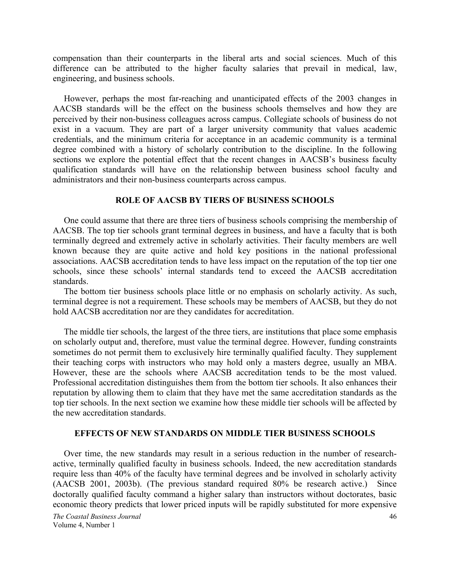compensation than their counterparts in the liberal arts and social sciences. Much of this difference can be attributed to the higher faculty salaries that prevail in medical, law, engineering, and business schools.

 However, perhaps the most far-reaching and unanticipated effects of the 2003 changes in AACSB standards will be the effect on the business schools themselves and how they are perceived by their non-business colleagues across campus. Collegiate schools of business do not exist in a vacuum. They are part of a larger university community that values academic credentials, and the minimum criteria for acceptance in an academic community is a terminal degree combined with a history of scholarly contribution to the discipline. In the following sections we explore the potential effect that the recent changes in AACSB's business faculty qualification standards will have on the relationship between business school faculty and administrators and their non-business counterparts across campus.

### **ROLE OF AACSB BY TIERS OF BUSINESS SCHOOLS**

 One could assume that there are three tiers of business schools comprising the membership of AACSB. The top tier schools grant terminal degrees in business, and have a faculty that is both terminally degreed and extremely active in scholarly activities. Their faculty members are well known because they are quite active and hold key positions in the national professional associations. AACSB accreditation tends to have less impact on the reputation of the top tier one schools, since these schools' internal standards tend to exceed the AACSB accreditation standards.

 The bottom tier business schools place little or no emphasis on scholarly activity. As such, terminal degree is not a requirement. These schools may be members of AACSB, but they do not hold AACSB accreditation nor are they candidates for accreditation.

 The middle tier schools, the largest of the three tiers, are institutions that place some emphasis on scholarly output and, therefore, must value the terminal degree. However, funding constraints sometimes do not permit them to exclusively hire terminally qualified faculty. They supplement their teaching corps with instructors who may hold only a masters degree, usually an MBA. However, these are the schools where AACSB accreditation tends to be the most valued. Professional accreditation distinguishes them from the bottom tier schools. It also enhances their reputation by allowing them to claim that they have met the same accreditation standards as the top tier schools. In the next section we examine how these middle tier schools will be affected by the new accreditation standards.

### **EFFECTS OF NEW STANDARDS ON MIDDLE TIER BUSINESS SCHOOLS**

 Over time, the new standards may result in a serious reduction in the number of researchactive, terminally qualified faculty in business schools. Indeed, the new accreditation standards require less than 40% of the faculty have terminal degrees and be involved in scholarly activity (AACSB 2001, 2003b). (The previous standard required 80% be research active.) Since doctorally qualified faculty command a higher salary than instructors without doctorates, basic economic theory predicts that lower priced inputs will be rapidly substituted for more expensive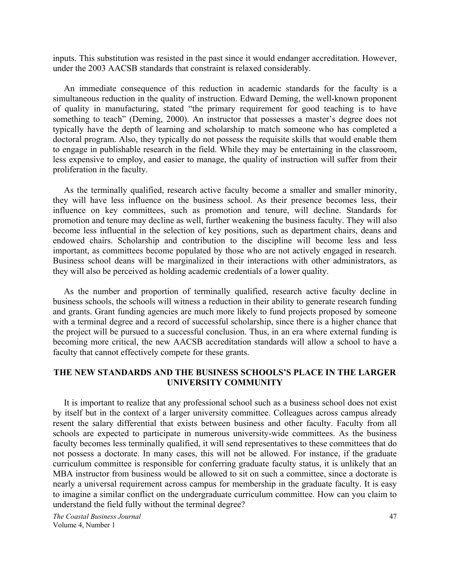inputs. This substitution was resisted in the past since it would endanger accreditation. However, under the 2003 AACSB standards that constraint is relaxed considerably.

 An immediate consequence of this reduction in academic standards for the faculty is a simultaneous reduction in the quality of instruction. Edward Deming, the well-known proponent of quality in manufacturing, stated "the primary requirement for good teaching is to have something to teach" (Deming, 2000). An instructor that possesses a master's degree does not typically have the depth of learning and scholarship to match someone who has completed a doctoral program. Also, they typically do not possess the requisite skills that would enable them to engage in publishable research in the field. While they may be entertaining in the classroom, less expensive to employ, and easier to manage, the quality of instruction will suffer from their proliferation in the faculty.

 As the terminally qualified, research active faculty become a smaller and smaller minority, they will have less influence on the business school. As their presence becomes less, their influence on key committees, such as promotion and tenure, will decline. Standards for promotion and tenure may decline as well, further weakening the business faculty. They will also become less influential in the selection of key positions, such as department chairs, deans and endowed chairs. Scholarship and contribution to the discipline will become less and less important, as committees become populated by those who are not actively engaged in research. Business school deans will be marginalized in their interactions with other administrators, as they will also be perceived as holding academic credentials of a lower quality.

 As the number and proportion of terminally qualified, research active faculty decline in business schools, the schools will witness a reduction in their ability to generate research funding and grants. Grant funding agencies are much more likely to fund projects proposed by someone with a terminal degree and a record of successful scholarship, since there is a higher chance that the project will be pursued to a successful conclusion. Thus, in an era where external funding is becoming more critical, the new AACSB accreditation standards will allow a school to have a faculty that cannot effectively compete for these grants.

# **THE NEW STANDARDS AND THE BUSINESS SCHOOLS'S PLACE IN THE LARGER UNIVERSITY COMMUNITY**

 It is important to realize that any professional school such as a business school does not exist by itself but in the context of a larger university committee. Colleagues across campus already resent the salary differential that exists between business and other faculty. Faculty from all schools are expected to participate in numerous university-wide committees. As the business faculty becomes less terminally qualified, it will send representatives to these committees that do not possess a doctorate. In many cases, this will not be allowed. For instance, if the graduate curriculum committee is responsible for conferring graduate faculty status, it is unlikely that an MBA instructor from business would be allowed to sit on such a committee, since a doctorate is nearly a universal requirement across campus for membership in the graduate faculty. It is easy to imagine a similar conflict on the undergraduate curriculum committee. How can you claim to understand the field fully without the terminal degree?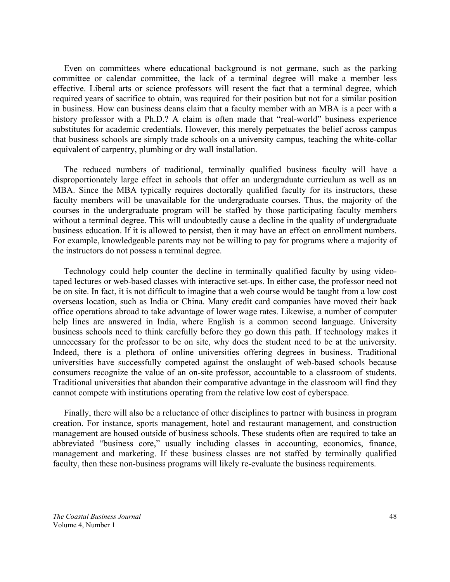Even on committees where educational background is not germane, such as the parking committee or calendar committee, the lack of a terminal degree will make a member less effective. Liberal arts or science professors will resent the fact that a terminal degree, which required years of sacrifice to obtain, was required for their position but not for a similar position in business. How can business deans claim that a faculty member with an MBA is a peer with a history professor with a Ph.D.? A claim is often made that "real-world" business experience substitutes for academic credentials. However, this merely perpetuates the belief across campus that business schools are simply trade schools on a university campus, teaching the white-collar equivalent of carpentry, plumbing or dry wall installation.

 The reduced numbers of traditional, terminally qualified business faculty will have a disproportionately large effect in schools that offer an undergraduate curriculum as well as an MBA. Since the MBA typically requires doctorally qualified faculty for its instructors, these faculty members will be unavailable for the undergraduate courses. Thus, the majority of the courses in the undergraduate program will be staffed by those participating faculty members without a terminal degree. This will undoubtedly cause a decline in the quality of undergraduate business education. If it is allowed to persist, then it may have an effect on enrollment numbers. For example, knowledgeable parents may not be willing to pay for programs where a majority of the instructors do not possess a terminal degree.

 Technology could help counter the decline in terminally qualified faculty by using videotaped lectures or web-based classes with interactive set-ups. In either case, the professor need not be on site. In fact, it is not difficult to imagine that a web course would be taught from a low cost overseas location, such as India or China. Many credit card companies have moved their back office operations abroad to take advantage of lower wage rates. Likewise, a number of computer help lines are answered in India, where English is a common second language. University business schools need to think carefully before they go down this path. If technology makes it unnecessary for the professor to be on site, why does the student need to be at the university. Indeed, there is a plethora of online universities offering degrees in business. Traditional universities have successfully competed against the onslaught of web-based schools because consumers recognize the value of an on-site professor, accountable to a classroom of students. Traditional universities that abandon their comparative advantage in the classroom will find they cannot compete with institutions operating from the relative low cost of cyberspace.

 Finally, there will also be a reluctance of other disciplines to partner with business in program creation. For instance, sports management, hotel and restaurant management, and construction management are housed outside of business schools. These students often are required to take an abbreviated "business core," usually including classes in accounting, economics, finance, management and marketing. If these business classes are not staffed by terminally qualified faculty, then these non-business programs will likely re-evaluate the business requirements.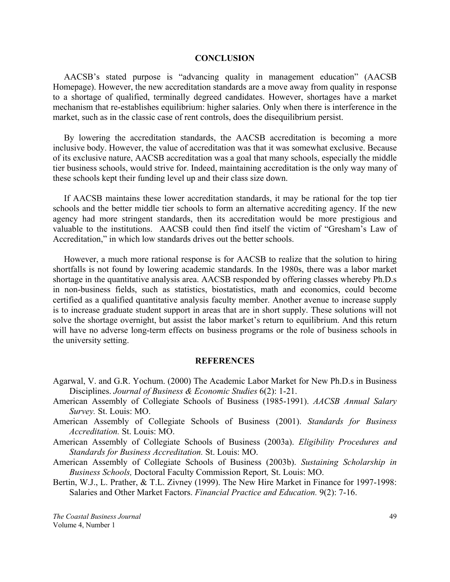#### **CONCLUSION**

 AACSB's stated purpose is "advancing quality in management education" (AACSB Homepage). However, the new accreditation standards are a move away from quality in response to a shortage of qualified, terminally degreed candidates. However, shortages have a market mechanism that re-establishes equilibrium: higher salaries. Only when there is interference in the market, such as in the classic case of rent controls, does the disequilibrium persist.

 By lowering the accreditation standards, the AACSB accreditation is becoming a more inclusive body. However, the value of accreditation was that it was somewhat exclusive. Because of its exclusive nature, AACSB accreditation was a goal that many schools, especially the middle tier business schools, would strive for. Indeed, maintaining accreditation is the only way many of these schools kept their funding level up and their class size down.

 If AACSB maintains these lower accreditation standards, it may be rational for the top tier schools and the better middle tier schools to form an alternative accrediting agency. If the new agency had more stringent standards, then its accreditation would be more prestigious and valuable to the institutions. AACSB could then find itself the victim of "Gresham's Law of Accreditation," in which low standards drives out the better schools.

 However, a much more rational response is for AACSB to realize that the solution to hiring shortfalls is not found by lowering academic standards. In the 1980s, there was a labor market shortage in the quantitative analysis area. AACSB responded by offering classes whereby Ph.D.s in non-business fields, such as statistics, biostatistics, math and economics, could become certified as a qualified quantitative analysis faculty member. Another avenue to increase supply is to increase graduate student support in areas that are in short supply. These solutions will not solve the shortage overnight, but assist the labor market's return to equilibrium. And this return will have no adverse long-term effects on business programs or the role of business schools in the university setting.

#### **REFERENCES**

- Agarwal, V. and G.R. Yochum. (2000) The Academic Labor Market for New Ph.D.s in Business Disciplines. *Journal of Business & Economic Studies* 6(2): 1-21.
- American Assembly of Collegiate Schools of Business (1985-1991). *AACSB Annual Salary Survey.* St. Louis: MO.
- American Assembly of Collegiate Schools of Business (2001). *Standards for Business Accreditation.* St. Louis: MO.

American Assembly of Collegiate Schools of Business (2003a). *Eligibility Procedures and Standards for Business Accreditation.* St. Louis: MO.

- American Assembly of Collegiate Schools of Business (2003b). *Sustaining Scholarship in Business Schools,* Doctoral Faculty Commission Report*,* St. Louis: MO.
- Bertin, W.J., L. Prather, & T.L. Zivney (1999). The New Hire Market in Finance for 1997-1998: Salaries and Other Market Factors. *Financial Practice and Education.* 9(2): 7-16.